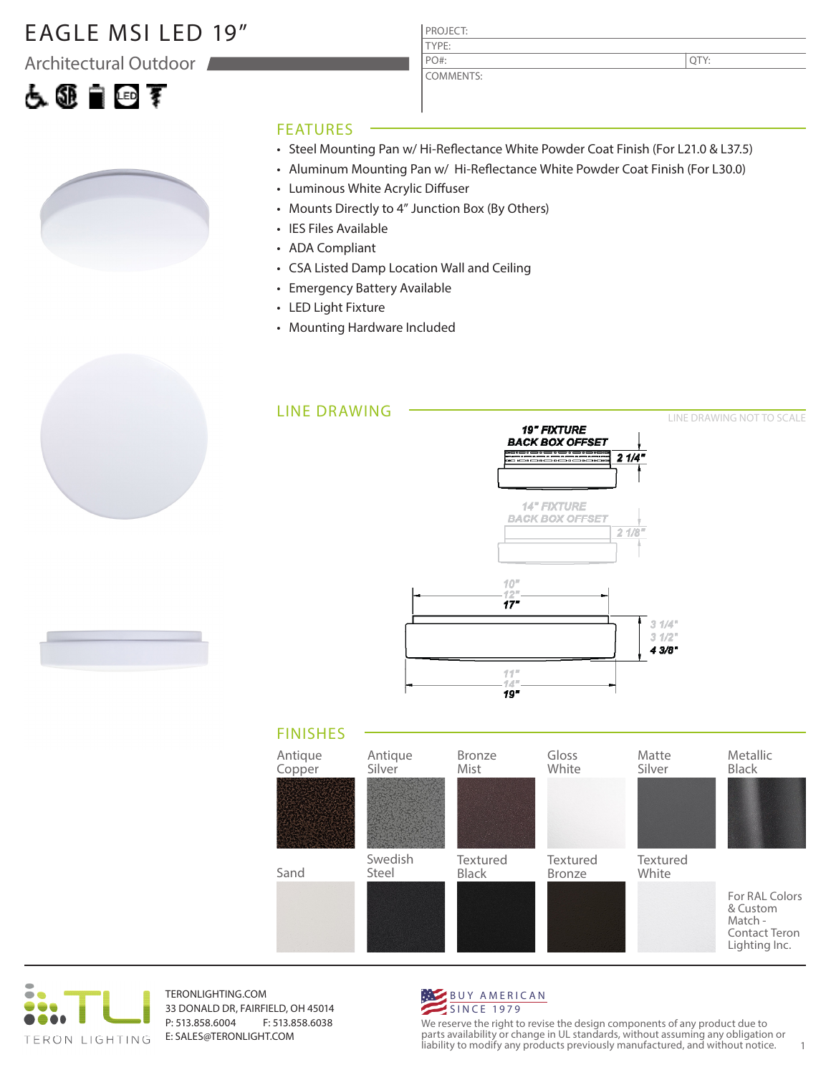#### EAGLE MSI LED 19"

Architectural Outdoor

## 占领自回军



#### PROJECT: TYPE:

COMMENTS: PO#:

QTY:

#### FEATURES

- Steel Mounting Pan w/ Hi-Reflectance White Powder Coat Finish (For L21.0 & L37.5)
- Aluminum Mounting Pan w/ Hi-Reflectance White Powder Coat Finish (For L30.0)
- Luminous White Acrylic Diffuser
- Mounts Directly to 4" Junction Box (By Others)
- IES Files Available
- ADA Compliant
- CSA Listed Damp Location Wall and Ceiling
- Emergency Battery Available
- LED Light Fixture
- Mounting Hardware Included







TERONLIGHTING.COM 33 DONALD DR, FAIRFIELD, OH 45014 P: 513.858.6004 F: 513.858.6038 E: SALES@TERONLIGHT.COM



We reserve the right to revise the design components of any product due to parts availability or change in UL standards, without assuming any obligation or liability to modify any products previously manufactured, and without notice. 1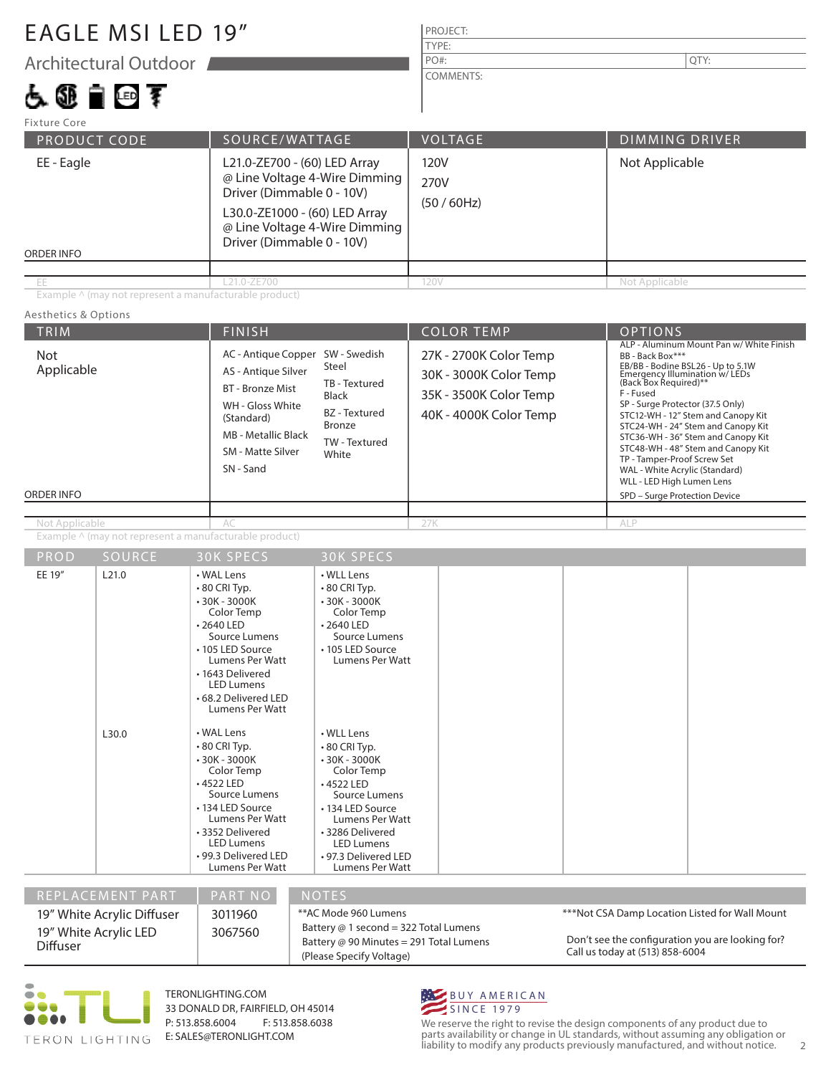### EAGLE MSI LED 19"

Architectural Outdoor

## 占领自回军

PROJECT: COMMENTS: PO#:  $\vert$  QTY:

| Fixture Core             |                                                                                                                                                                                           |                           |                       |  |
|--------------------------|-------------------------------------------------------------------------------------------------------------------------------------------------------------------------------------------|---------------------------|-----------------------|--|
| PRODUCT CODE             | SOURCE/WATTAGE                                                                                                                                                                            | <b>VOLTAGE</b>            | <b>DIMMING DRIVER</b> |  |
| EE - Eagle<br>ORDER INFO | L21.0-ZE700 - (60) LED Array<br>@ Line Voltage 4-Wire Dimming<br>Driver (Dimmable 0 - 10V)<br>L30.0-ZE1000 - (60) LED Array<br>@ Line Voltage 4-Wire Dimming<br>Driver (Dimmable 0 - 10V) | 120V<br>270V<br>(50/60Hz) | Not Applicable        |  |
|                          |                                                                                                                                                                                           |                           |                       |  |
| ЕE                       | L21.0-ZE700                                                                                                                                                                               | 120V                      | Not Applicable        |  |

TYPE:

Example ^ (may not represent a manufacturable product)

#### TRIM  $\vert$  Finish  $\vert$  Color Temp  $\vert$  Cornel ORDER INFO Aesthetics & Options Example ^ (may not represent a manufacturable product) 27K - 2700K Color Temp 30K - 3000K Color Temp 35K - 3500K Color Temp 40K - 4000K Color Temp Not Applicable Not Applicable AC 27K AC 27K AC 27K AC 27K AC 27K AC 27K AC 27K AC 27K AC 27K AC 27K AC 27K AC 27K AC 27K AC 27 AC - Antique Copper SW - Swedish AS - Antique Silver BT - Bronze Mist WH - Gloss White (Standard) MB - Metallic Black SM - Matte Silver SN - Sand Steel TB - Textured Black BZ - Textured Bronze TW - Textured White ALP - Aluminum Mount Pan w/ White Finish BB - Back Box\*\*\* EB/BB - Bodine BSL26 - Up to 5.1W<br>Emergency Illumination w/ LEDs<br>(Back Box Required)\*\* F - Fused SP - Surge Protector (37.5 Only) STC12-WH - 12" Stem and Canopy Kit STC24-WH - 24" Stem and Canopy Kit STC36-WH - 36" Stem and Canopy Kit STC48-WH - 48" Stem and Canopy Kit TP - Tamper-Proof Screw Set WAL - White Acrylic (Standard) WLL - LED High Lumen Lens SPD – Surge Protection Device ALP

| $\cdots$ | --------                   | ---------                                                                                                                                                                                                                         | 001111111200                                                                                                                                                                                                                     |                                                                                      |
|----------|----------------------------|-----------------------------------------------------------------------------------------------------------------------------------------------------------------------------------------------------------------------------------|----------------------------------------------------------------------------------------------------------------------------------------------------------------------------------------------------------------------------------|--------------------------------------------------------------------------------------|
| EE 19"   | L21.0                      | • WAL Lens<br>$\cdot$ 80 CRI Typ.<br>$-30K - 3000K$<br>Color Temp<br>$\cdot$ 2640 LED<br>Source Lumens<br>• 105 LED Source<br>Lumens Per Watt<br>• 1643 Delivered<br><b>LED Lumens</b><br>• 68.2 Delivered LED<br>Lumens Per Watt | • WLL Lens<br>•80 CRI Typ.<br>$-30K - 3000K$<br>Color Temp<br>$\cdot$ 2640 LED<br>Source Lumens<br>• 105 LED Source<br>Lumens Per Watt                                                                                           |                                                                                      |
|          | L30.0                      | • WAL Lens<br>$\cdot$ 80 CRI Typ.<br>$-30K - 3000K$<br>Color Temp<br>$-4522$ LED<br>Source Lumens<br>• 134 LED Source<br>Lumens Per Watt<br>• 3352 Delivered<br><b>LED Lumens</b><br>• 99.3 Delivered LED<br>Lumens Per Watt      | • WLL Lens<br>$\cdot$ 80 CRI Typ.<br>$-30K - 3000K$<br>Color Temp<br>$\cdot$ 4522 LED<br>Source Lumens<br>• 134 LED Source<br>Lumens Per Watt<br>• 3286 Delivered<br><b>LED Lumens</b><br>•97.3 Delivered LED<br>Lumens Per Watt |                                                                                      |
|          | REPLACEMENT PART           | PART NO                                                                                                                                                                                                                           | <b>NOTES</b>                                                                                                                                                                                                                     |                                                                                      |
|          |                            |                                                                                                                                                                                                                                   |                                                                                                                                                                                                                                  |                                                                                      |
|          | 19" White Acrylic Diffuser | 3011960                                                                                                                                                                                                                           | **AC Mode 960 Lumens                                                                                                                                                                                                             | ***Not CSA Damp Location Listed for Wall Mount                                       |
| Diffuser | 19" White Acrylic LED      | 3067560                                                                                                                                                                                                                           | Battery @ 1 second = 322 Total Lumens<br>Battery @ 90 Minutes = 291 Total Lumens                                                                                                                                                 | Don't see the configuration you are looking for?<br>$C_1$ U $t_1$ $t$ (513) OFO COOA |

(Please Specify Voltage)



TERONLIGHTING.COM 33 DONALD DR, FAIRFIELD, OH 45014 P: 513.858.6004 F: 513.858.6038 E: SALES@TERONLIGHT.COM



We reserve the right to revise the design components of any product due to parts availability or change in UL standards, without assuming any obligation or liability to modify any products previously manufactured, and without notice. 2

Call us today at (513) 858-6004